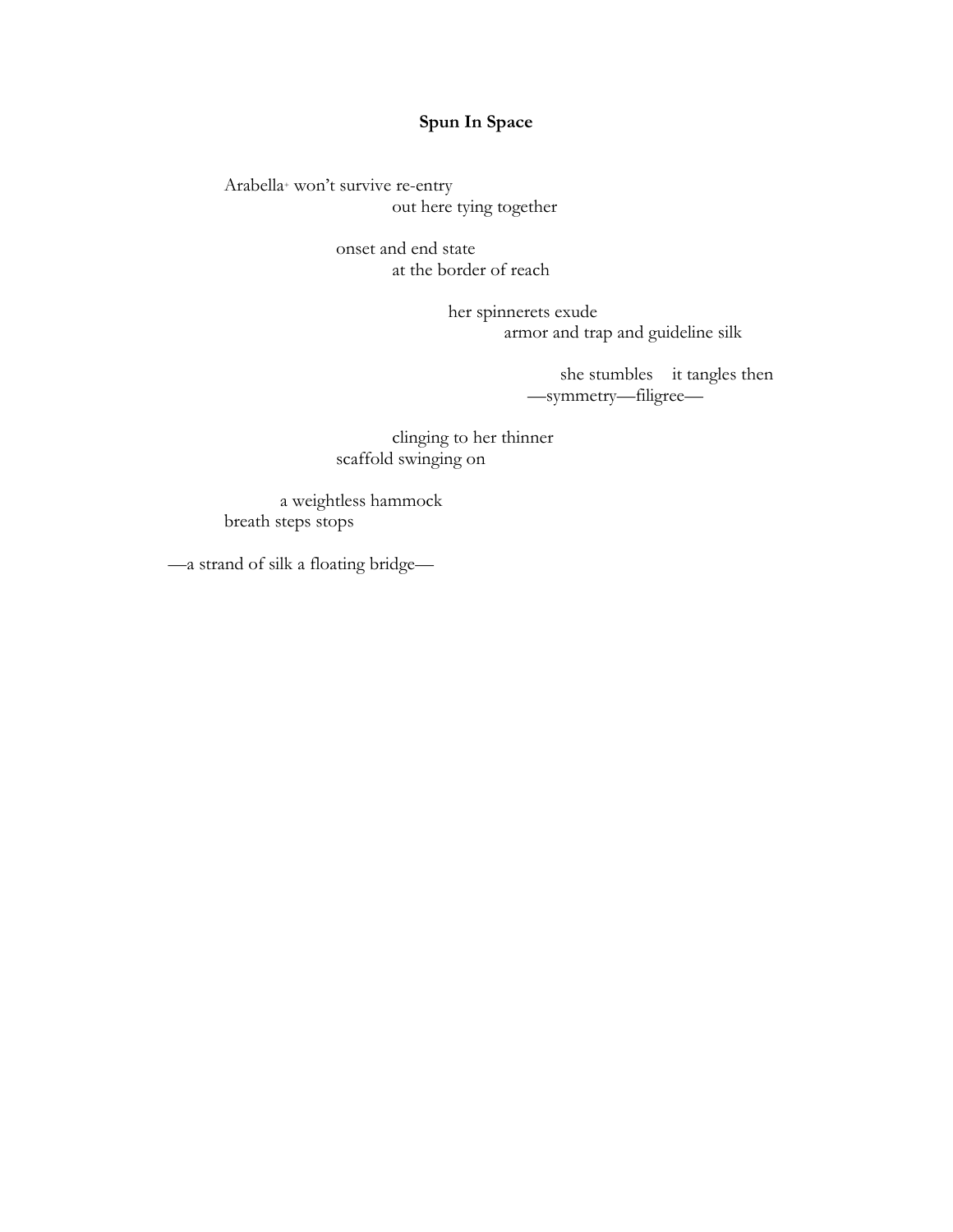# **Spun In Space**

Arabella+ won't survive re-entry out here tying together

> onset and end state at the border of reach

> > her spinnerets exude armor and trap and guideline silk

> > > she stumbles it tangles then —symmetry—filigree—

clinging to her thinner scaffold swinging on

a weightless hammock breath steps stops

—a strand of silk a floating bridge—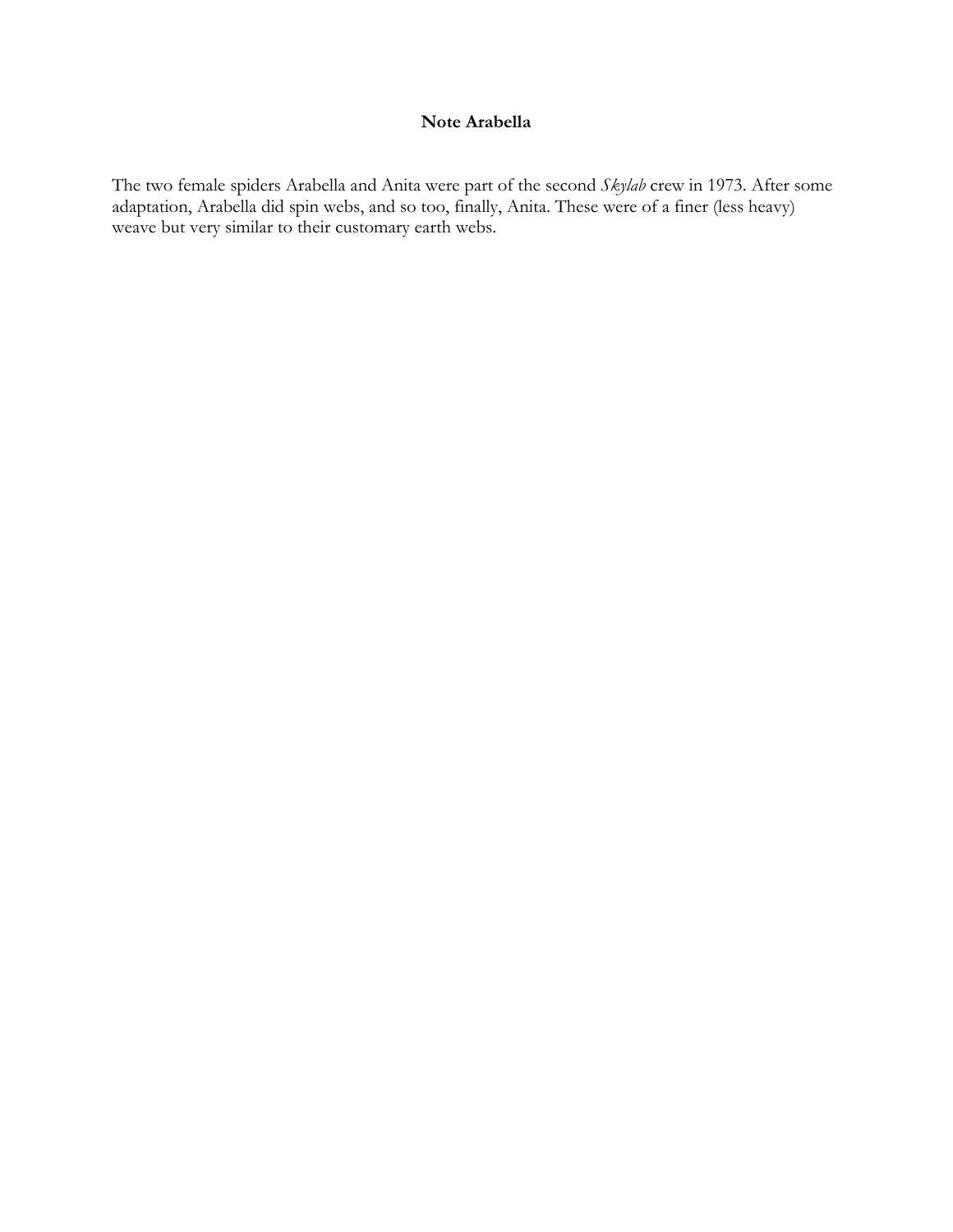# **Note Arabella**

The two female spiders Arabella and Anita were part of the second *Skylab* crew in 1973. After some adaptation, Arabella did spin webs, and so too, finally, Anita. These were of a finer (less heavy) weave but very similar to their customary earth webs.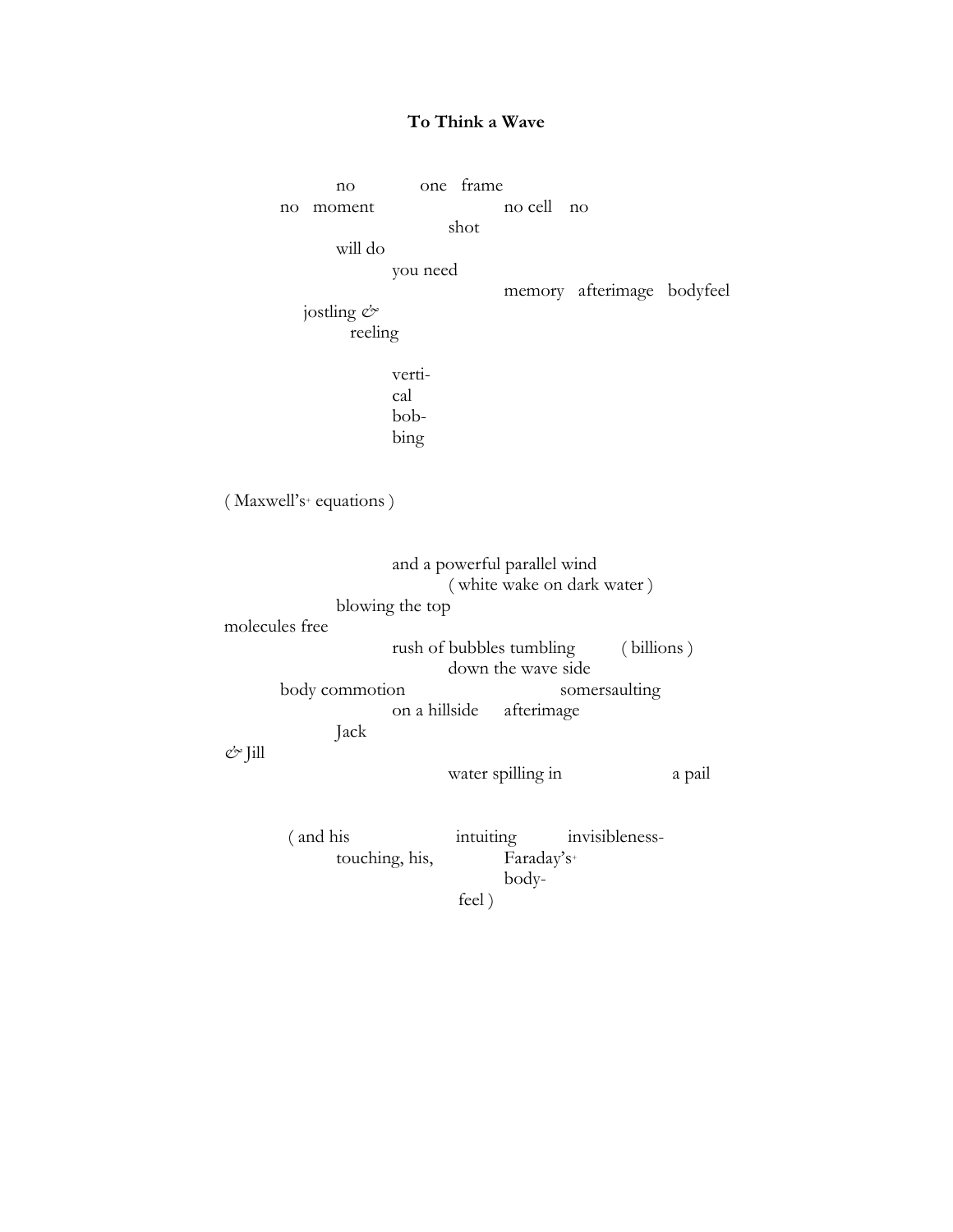## **To Think a Wave**

no one frame no moment no cell no shot will do you need memory afterimage bodyfeel jostling *&* reeling vertical bobbing ( Maxwell's<sup>+</sup> equations ) and a powerful parallel wind ( white wake on dark water ) blowing the top molecules free rush of bubbles tumbling ( billions ) down the wave side body commotion somersaulting on a hillside afterimage Jack *&* Jill water spilling in a pail ( and his intuiting invisiblenesstouching, his, Faraday's+ body-

feel )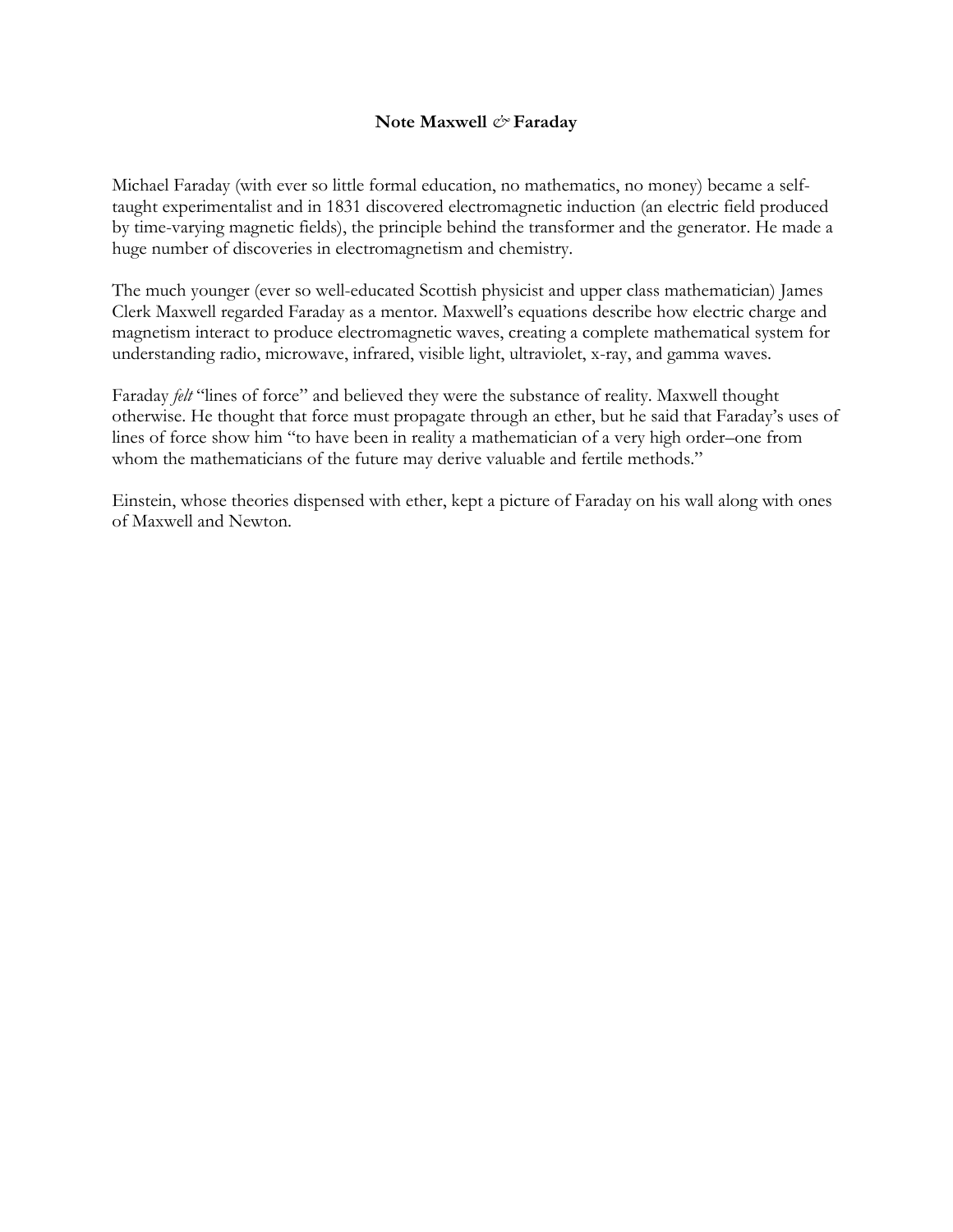### **Note Maxwell** *&* **Faraday**

Michael Faraday (with ever so little formal education, no mathematics, no money) became a selftaught experimentalist and in 1831 discovered electromagnetic induction (an electric field produced by time-varying magnetic fields), the principle behind the transformer and the generator. He made a huge number of discoveries in electromagnetism and chemistry.

The much younger (ever so well-educated Scottish physicist and upper class mathematician) James Clerk Maxwell regarded Faraday as a mentor. Maxwell's equations describe how electric charge and magnetism interact to produce electromagnetic waves, creating a complete mathematical system for understanding radio, microwave, infrared, visible light, ultraviolet, x-ray, and gamma waves.

Faraday *felt* "lines of force" and believed they were the substance of reality. Maxwell thought otherwise. He thought that force must propagate through an ether, but he said that Faraday's uses of lines of force show him "to have been in reality a mathematician of a very high order–one from whom the mathematicians of the future may derive valuable and fertile methods."

Einstein, whose theories dispensed with ether, kept a picture of Faraday on his wall along with ones of Maxwell and Newton.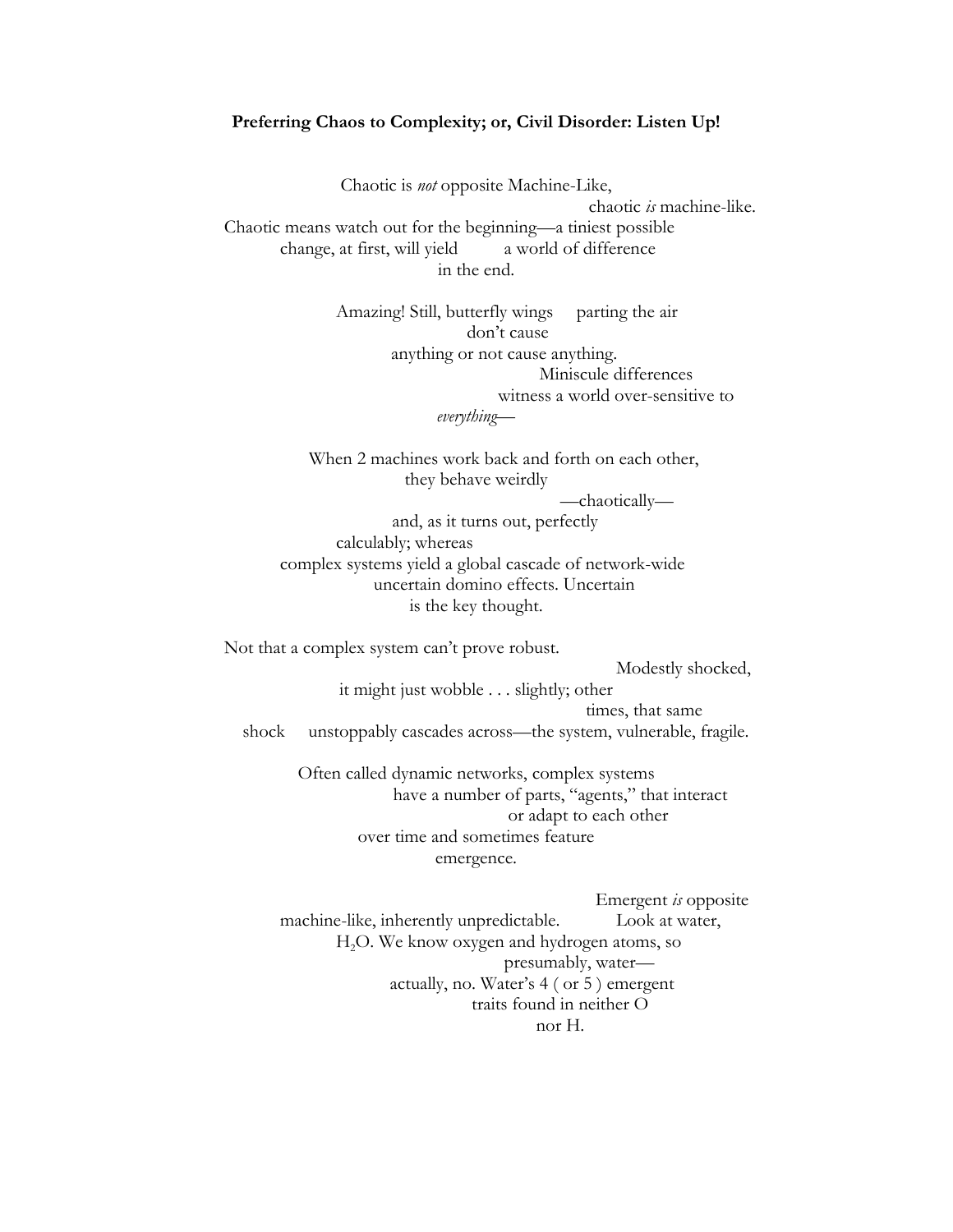#### **Preferring Chaos to Complexity; or, Civil Disorder: Listen Up!**

Chaotic is *not* opposite Machine-Like, chaotic *is* machine-like. Chaotic means watch out for the beginning—a tiniest possible change, at first, will yield a world of difference in the end.

> Amazing! Still, butterfly wings parting the air don't cause anything or not cause anything. Miniscule differences witness a world over-sensitive to *everything—*

When 2 machines work back and forth on each other, they behave weirdly

*—*chaotically*—*

and, as it turns out, perfectly calculably; whereas complex systems yield a global cascade of network-wide uncertain domino effects. Uncertain is the key thought.

Not that a complex system can't prove robust.

Modestly shocked,

it might just wobble . . . slightly; other times, that same shock unstoppably cascades across—the system, vulnerable, fragile.

> Often called dynamic networks, complex systems have a number of parts, "agents," that interact or adapt to each other over time and sometimes feature emergence.

Emergent *is* opposite machine-like, inherently unpredictable. Look at water, H<sub>2</sub>O. We know oxygen and hydrogen atoms, so presumably, water actually, no. Water's 4 ( or 5 ) emergent traits found in neither O nor H.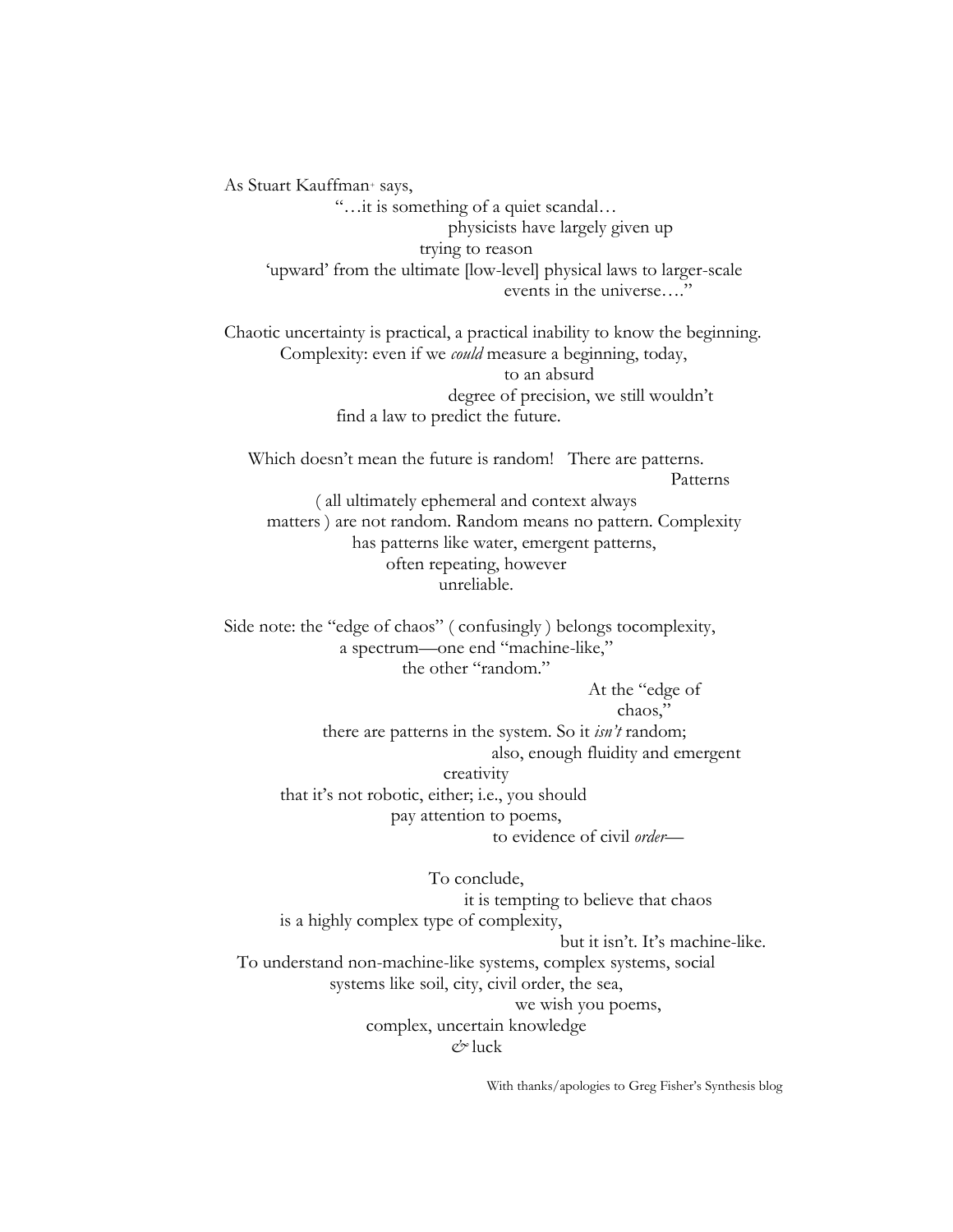As Stuart Kauffman+ says, "…it is something of a quiet scandal… physicists have largely given up trying to reason

'upward' from the ultimate [low-level] physical laws to larger-scale events in the universe…."

Chaotic uncertainty is practical, a practical inability to know the beginning. Complexity: even if we *could* measure a beginning, today, to an absurd degree of precision, we still wouldn't find a law to predict the future.

Which doesn't mean the future is random! There are patterns. Patterns ( all ultimately ephemeral and context always matters ) are not random. Random means no pattern. Complexity has patterns like water, emergent patterns, often repeating, however unreliable.

Side note: the "edge of chaos" ( confusingly ) belongs tocomplexity, a spectrum—one end "machine-like," the other "random."

> At the "edge of chaos,"

there are patterns in the system. So it *isn't* random; also, enough fluidity and emergent creativity that it's not robotic, either; i.e., you should pay attention to poems, to evidence of civil *order*—

To conclude, it is tempting to believe that chaos is a highly complex type of complexity, but it isn't. It's machine-like. To understand non-machine-like systems, complex systems, social systems like soil, city, civil order, the sea, we wish you poems, complex, uncertain knowledge *&* luck

With thanks/apologies to Greg Fisher's Synthesis blog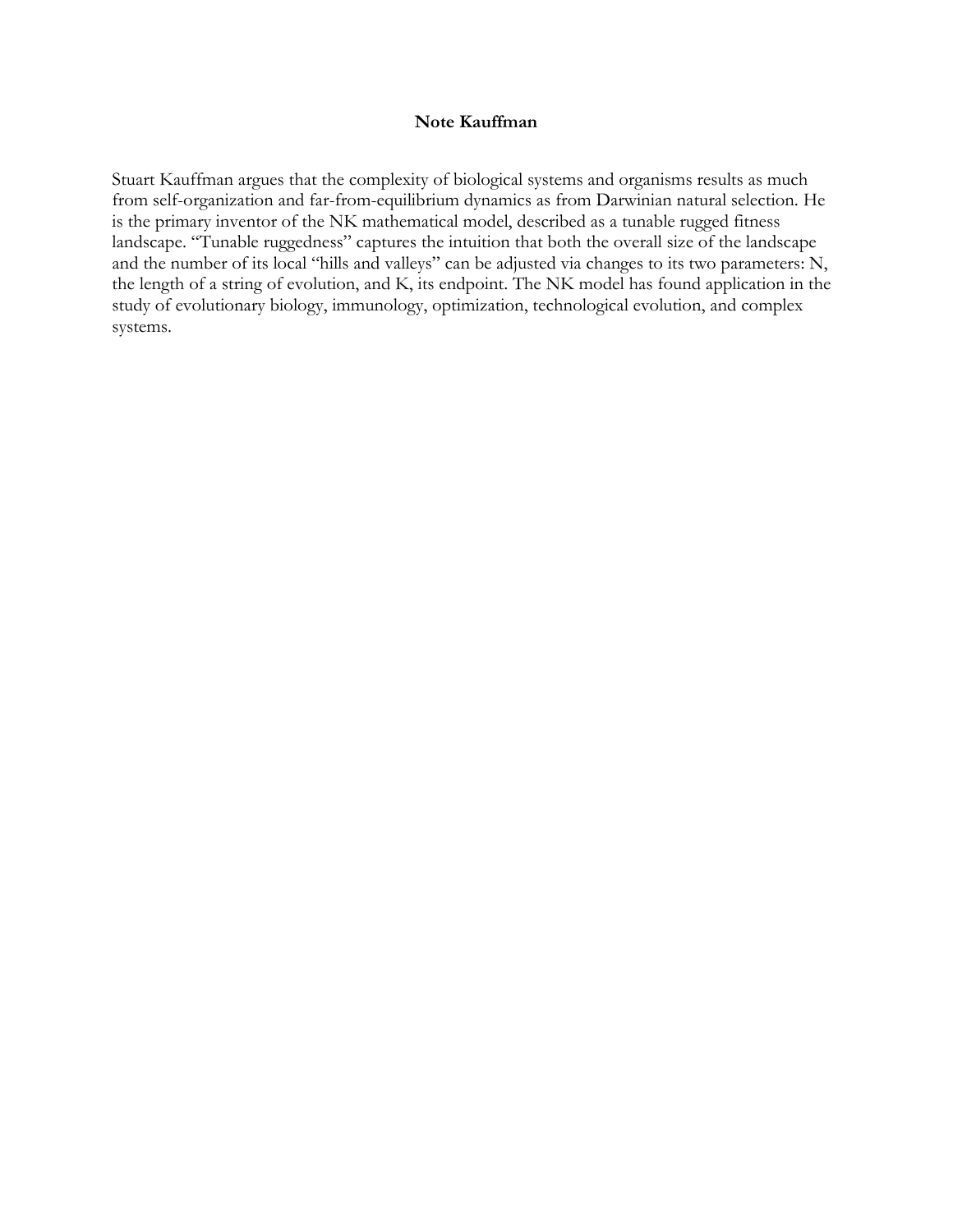### **Note Kauffman**

Stuart Kauffman argues that the complexity of biological systems and organisms results as much from self-organization and far-from-equilibrium dynamics as from Darwinian natural selection. He is the primary inventor of the NK mathematical model, described as a tunable rugged fitness landscape. "Tunable ruggedness" captures the intuition that both the overall size of the landscape and the number of its local "hills and valleys" can be adjusted via changes to its two parameters: N, the length of a string of evolution, and K, its endpoint. The NK model has found application in the study of evolutionary biology, immunology, optimization, technological evolution, and complex systems.